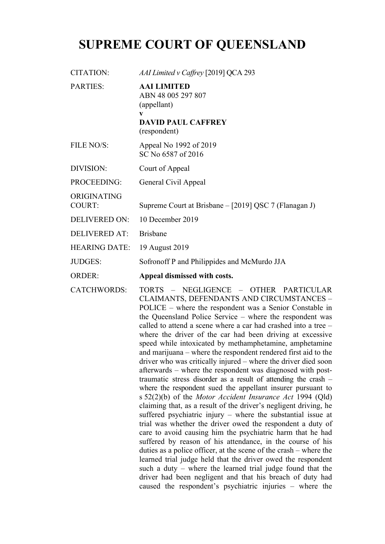## **SUPREME COURT OF QUEENSLAND**

| CITATION:                    | AAI Limited v Caffrey [2019] QCA 293                                                                      |
|------------------------------|-----------------------------------------------------------------------------------------------------------|
| <b>PARTIES:</b>              | <b>AAI LIMITED</b><br>ABN 48 005 297 807<br>(appellant)<br>V<br><b>DAVID PAUL CAFFREY</b><br>(respondent) |
| FILE NO/S:                   | Appeal No 1992 of 2019<br>SC No 6587 of 2016                                                              |
| DIVISION:                    | Court of Appeal                                                                                           |
| PROCEEDING:                  | General Civil Appeal                                                                                      |
| ORIGINATING<br><b>COURT:</b> | Supreme Court at Brisbane - [2019] QSC 7 (Flanagan J)                                                     |
| <b>DELIVERED ON:</b>         | 10 December 2019                                                                                          |
| DELIVERED AT:                | <b>Brishane</b>                                                                                           |
|                              |                                                                                                           |

HEARING DATE: 19 August 2019

JUDGES: Sofronoff P and Philippides and McMurdo JJA

ORDER: **Appeal dismissed with costs.**

CATCHWORDS: TORTS – NEGLIGENCE – OTHER PARTICULAR CLAIMANTS, DEFENDANTS AND CIRCUMSTANCES – POLICE – where the respondent was a Senior Constable in the Queensland Police Service – where the respondent was called to attend a scene where a car had crashed into a tree – where the driver of the car had been driving at excessive speed while intoxicated by methamphetamine, amphetamine and marijuana – where the respondent rendered first aid to the driver who was critically injured – where the driver died soon afterwards – where the respondent was diagnosed with posttraumatic stress disorder as a result of attending the crash – where the respondent sued the appellant insurer pursuant to s 52(2)(b) of the *Motor Accident Insurance Act* 1994 (Qld) claiming that, as a result of the driver's negligent driving, he suffered psychiatric injury – where the substantial issue at trial was whether the driver owed the respondent a duty of care to avoid causing him the psychiatric harm that he had suffered by reason of his attendance, in the course of his duties as a police officer, at the scene of the crash – where the learned trial judge held that the driver owed the respondent such a duty – where the learned trial judge found that the driver had been negligent and that his breach of duty had caused the respondent's psychiatric injuries – where the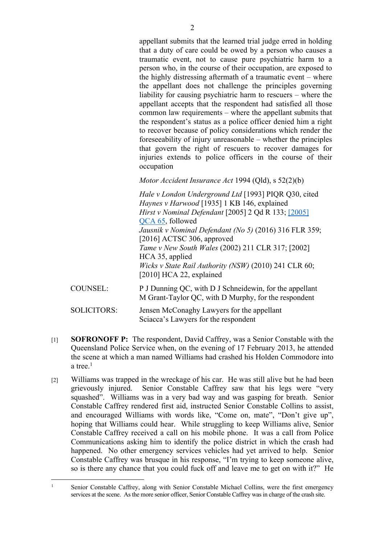appellant submits that the learned trial judge erred in holding that a duty of care could be owed by a person who causes a traumatic event, not to cause pure psychiatric harm to a person who, in the course of their occupation, are exposed to the highly distressing aftermath of a traumatic event – where the appellant does not challenge the principles governing liability for causing psychiatric harm to rescuers – where the appellant accepts that the respondent had satisfied all those common law requirements – where the appellant submits that the respondent's status as a police officer denied him a right to recover because of policy considerations which render the foreseeability of injury unreasonable – whether the principles that govern the right of rescuers to recover damages for injuries extends to police officers in the course of their occupation

*Motor Accident Insurance Act* 1994 (Qld), s 52(2)(b)

*Hale v London Underground Ltd* [1993] PIQR Q30, cited *Haynes v Harwood* [1935] 1 KB 146, explained *Hirst v Nominal Defendant* [2005] 2 Qd R 133; [2005] QCA 65, followed *Jausnik v Nominal Defendant (No 5)* (2016) 316 FLR 359; [2016] ACTSC 306, approved *Tame v New South Wales* (2002) 211 CLR 317; [2002] HCA 35, applied *Wicks v State Rail Authority (NSW)* (2010) 241 CLR 60; [2010] HCA 22, explained

COUNSEL: P J Dunning QC, with D J Schneidewin, for the appellant M Grant-Taylor QC, with D Murphy, for the respondent

SOLICITORS: Jensen McConaghy Lawyers for the appellant Sciacca's Lawyers for the respondent

- [1] **SOFRONOFF P:** The respondent, David Caffrey, was a Senior Constable with the Queensland Police Service when, on the evening of 17 February 2013, he attended the scene at which a man named Williams had crashed his Holden Commodore into a tree.<sup>1</sup>
- [2] Williams was trapped in the wreckage of his car. He was still alive but he had been grievously injured. Senior Constable Caffrey saw that his legs were "very squashed". Williams was in a very bad way and was gasping for breath. Senior Constable Caffrey rendered first aid, instructed Senior Constable Collins to assist, and encouraged Williams with words like, "Come on, mate", "Don't give up", hoping that Williams could hear. While struggling to keep Williams alive, Senior Constable Caffrey received a call on his mobile phone. It was a call from Police Communications asking him to identify the police district in which the crash had happened. No other emergency services vehicles had yet arrived to help. Senior Constable Caffrey was brusque in his response, "I'm trying to keep someone alive, so is there any chance that you could fuck off and leave me to get on with it?" He

<sup>1</sup> Senior Constable Caffrey, along with Senior Constable Michael Collins, were the first emergency services at the scene. As the more senior officer, Senior Constable Caffrey was in charge of the crash site.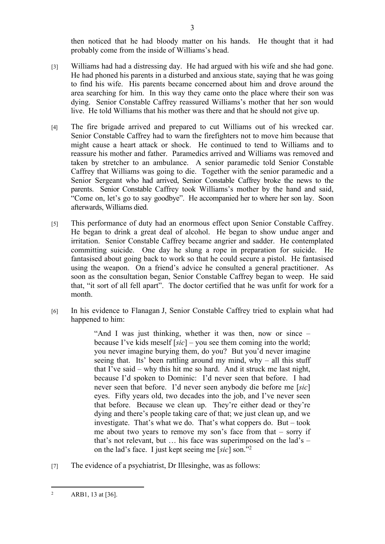then noticed that he had bloody matter on his hands. He thought that it had probably come from the inside of Williams's head.

[3] Williams had had a distressing day. He had argued with his wife and she had gone. He had phoned his parents in a disturbed and anxious state, saying that he was going to find his wife. His parents became concerned about him and drove around the area searching for him. In this way they came onto the place where their son was dying. Senior Constable Caffrey reassured Williams's mother that her son would live. He told Williams that his mother was there and that he should not give up.

3

- [4] The fire brigade arrived and prepared to cut Williams out of his wrecked car. Senior Constable Caffrey had to warn the firefighters not to move him because that might cause a heart attack or shock. He continued to tend to Williams and to reassure his mother and father. Paramedics arrived and Williams was removed and taken by stretcher to an ambulance. A senior paramedic told Senior Constable Caffrey that Williams was going to die. Together with the senior paramedic and a Senior Sergeant who had arrived, Senior Constable Caffrey broke the news to the parents. Senior Constable Caffrey took Williams's mother by the hand and said, "Come on, let's go to say goodbye". He accompanied her to where her son lay. Soon afterwards, Williams died.
- [5] This performance of duty had an enormous effect upon Senior Constable Caffrey. He began to drink a great deal of alcohol. He began to show undue anger and irritation. Senior Constable Caffrey became angrier and sadder. He contemplated committing suicide. One day he slung a rope in preparation for suicide. He fantasised about going back to work so that he could secure a pistol. He fantasised using the weapon. On a friend's advice he consulted a general practitioner. As soon as the consultation began, Senior Constable Caffrey began to weep. He said that, "it sort of all fell apart". The doctor certified that he was unfit for work for a month.
- [6] In his evidence to Flanagan J, Senior Constable Caffrey tried to explain what had happened to him:

"And I was just thinking, whether it was then, now or since – because I've kids meself [*sic*] – you see them coming into the world; you never imagine burying them, do you? But you'd never imagine seeing that. Its' been rattling around my mind, why – all this stuff that I've said – why this hit me so hard. And it struck me last night, because I'd spoken to Dominic: I'd never seen that before. I had never seen that before. I'd never seen anybody die before me [*sic*] eyes. Fifty years old, two decades into the job, and I've never seen that before. Because we clean up. They're either dead or they're dying and there's people taking care of that; we just clean up, and we investigate. That's what we do. That's what coppers do. But – took me about two years to remove my son's face from that – sorry if that's not relevant, but  $\ldots$  his face was superimposed on the lad's – on the lad's face. I just kept seeing me [*sic*] son."<sup>2</sup>

[7] The evidence of a psychiatrist, Dr Illesinghe, was as follows:

<sup>2</sup> ARB1, 13 at [36].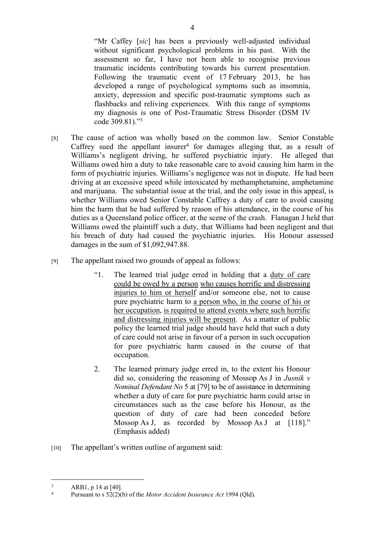"Mr Caffey [*sic*] has been a previously well-adjusted individual without significant psychological problems in his past. With the assessment so far, I have not been able to recognise previous traumatic incidents contributing towards his current presentation. Following the traumatic event of 17 February 2013, he has developed a range of psychological symptoms such as insomnia, anxiety, depression and specific post-traumatic symptoms such as flashbacks and reliving experiences. With this range of symptoms my diagnosis is one of Post-Traumatic Stress Disorder (DSM IV code 309.81)."<sup>3</sup>

- [8] The cause of action was wholly based on the common law. Senior Constable Caffrey sued the appellant insurer<sup>4</sup> for damages alleging that, as a result of Williams's negligent driving, he suffered psychiatric injury. He alleged that Williams owed him a duty to take reasonable care to avoid causing him harm in the form of psychiatric injuries. Williams's negligence was not in dispute. He had been driving at an excessive speed while intoxicated by methamphetamine, amphetamine and marijuana. The substantial issue at the trial, and the only issue in this appeal, is whether Williams owed Senior Constable Caffrey a duty of care to avoid causing him the harm that he had suffered by reason of his attendance, in the course of his duties as a Queensland police officer, at the scene of the crash. Flanagan J held that Williams owed the plaintiff such a duty, that Williams had been negligent and that his breach of duty had caused the psychiatric injuries. His Honour assessed damages in the sum of \$1,092,947.88.
- [9] The appellant raised two grounds of appeal as follows:
	- "1. The learned trial judge erred in holding that a duty of care could be owed by a person who causes horrific and distressing injuries to him or herself and/or someone else, not to cause pure psychiatric harm to a person who, in the course of his or her occupation, is required to attend events where such horrific and distressing injuries will be present. As a matter of public policy the learned trial judge should have held that such a duty of care could not arise in favour of a person in such occupation for pure psychiatric harm caused in the course of that occupation.
	- 2. The learned primary judge erred in, to the extent his Honour did so, considering the reasoning of Mossop As J in *Jusnik v Nominal Defendant No* 5 at [79] to be of assistance in determining whether a duty of care for pure psychiatric harm could arise in circumstances such as the case before his Honour, as the question of duty of care had been conceded before Mossop As J, as recorded by Mossop As J at [118]." (Emphasis added)
- [10] The appellant's written outline of argument said:

<sup>3</sup> ARB1, p 14 at [40].

<sup>4</sup> Pursuant to s 52(2)(b) of the *Motor Accident Insurance Act* 1994 (Qld).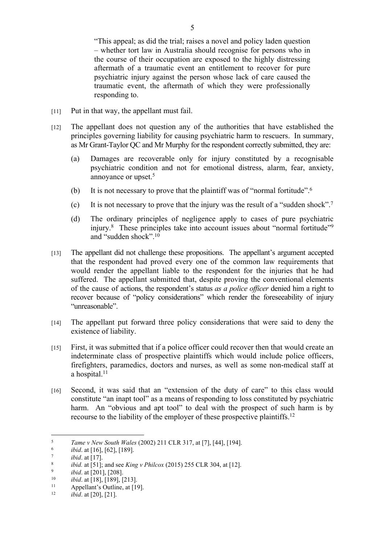"This appeal; as did the trial; raises a novel and policy laden question – whether tort law in Australia should recognise for persons who in the course of their occupation are exposed to the highly distressing aftermath of a traumatic event an entitlement to recover for pure psychiatric injury against the person whose lack of care caused the traumatic event, the aftermath of which they were professionally responding to.

- [11] Put in that way, the appellant must fail.
- [12] The appellant does not question any of the authorities that have established the principles governing liability for causing psychiatric harm to rescuers. In summary, as Mr Grant-Taylor QC and Mr Murphy for the respondent correctly submitted, they are:
	- (a) Damages are recoverable only for injury constituted by a recognisable psychiatric condition and not for emotional distress, alarm, fear, anxiety, annoyance or upset.<sup>5</sup>
	- (b) It is not necessary to prove that the plaintiff was of "normal fortitude".<sup>6</sup>
	- (c) It is not necessary to prove that the injury was the result of a "sudden shock".<sup>7</sup>
	- (d) The ordinary principles of negligence apply to cases of pure psychiatric injury.<sup>8</sup> These principles take into account issues about "normal fortitude"<sup>9</sup> and "sudden shock".<sup>10</sup>
- [13] The appellant did not challenge these propositions. The appellant's argument accepted that the respondent had proved every one of the common law requirements that would render the appellant liable to the respondent for the injuries that he had suffered. The appellant submitted that, despite proving the conventional elements of the cause of actions, the respondent's status *as a police officer* denied him a right to recover because of "policy considerations" which render the foreseeability of injury "unreasonable".
- [14] The appellant put forward three policy considerations that were said to deny the existence of liability.
- [15] First, it was submitted that if a police officer could recover then that would create an indeterminate class of prospective plaintiffs which would include police officers, firefighters, paramedics, doctors and nurses, as well as some non-medical staff at a hospital.<sup>11</sup>
- [16] Second, it was said that an "extension of the duty of care" to this class would constitute "an inapt tool" as a means of responding to loss constituted by psychiatric harm. An "obvious and apt tool" to deal with the prospect of such harm is by recourse to the liability of the employer of these prospective plaintiffs.<sup>12</sup>

<sup>5</sup> *Tame v New South Wales* (2002) 211 CLR 317, at [7], [44], [194].

<sup>6</sup> *ibid*. at [16], [62], [189].

<sup>7</sup> *ibid*. at [17].

<sup>8</sup> *ibid.* at [51]; and see *King v Philcox* (2015) 255 CLR 304, at [12].

<sup>9</sup> *ibid*. at [201], [208].

<sup>&</sup>lt;sup>10</sup> *ibid.* at [18], [189], [213].

<sup>&</sup>lt;sup>11</sup> Appellant's Outline, at [19].

*ibid.* at [20], [21].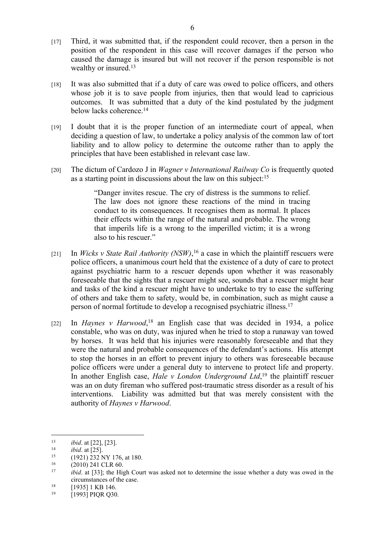- [17] Third, it was submitted that, if the respondent could recover, then a person in the position of the respondent in this case will recover damages if the person who caused the damage is insured but will not recover if the person responsible is not wealthy or insured.<sup>13</sup>
- [18] It was also submitted that if a duty of care was owed to police officers, and others whose job it is to save people from injuries, then that would lead to capricious outcomes. It was submitted that a duty of the kind postulated by the judgment below lacks coherence.<sup>14</sup>
- [19] I doubt that it is the proper function of an intermediate court of appeal, when deciding a question of law, to undertake a policy analysis of the common law of tort liability and to allow policy to determine the outcome rather than to apply the principles that have been established in relevant case law.
- [20] The dictum of Cardozo J in *Wagner v International Railway Co* is frequently quoted as a starting point in discussions about the law on this subject:  $15$

"Danger invites rescue. The cry of distress is the summons to relief. The law does not ignore these reactions of the mind in tracing conduct to its consequences. It recognises them as normal. It places their effects within the range of the natural and probable. The wrong that imperils life is a wrong to the imperilled victim; it is a wrong also to his rescuer."

- [21] In *Wicks v State Rail Authority (NSW)*,<sup>16</sup> a case in which the plaintiff rescuers were police officers, a unanimous court held that the existence of a duty of care to protect against psychiatric harm to a rescuer depends upon whether it was reasonably foreseeable that the sights that a rescuer might see, sounds that a rescuer might hear and tasks of the kind a rescuer might have to undertake to try to ease the suffering of others and take them to safety, would be, in combination, such as might cause a person of normal fortitude to develop a recognised psychiatric illness.<sup>17</sup>
- [22] In *Haynes v Harwood*<sup>18</sup> an English case that was decided in 1934, a police constable, who was on duty, was injured when he tried to stop a runaway van towed by horses. It was held that his injuries were reasonably foreseeable and that they were the natural and probable consequences of the defendant's actions. His attempt to stop the horses in an effort to prevent injury to others was foreseeable because police officers were under a general duty to intervene to protect life and property. In another English case, *Hale v London Underground Ltd*, <sup>19</sup> the plaintiff rescuer was an on duty fireman who suffered post-traumatic stress disorder as a result of his interventions. Liability was admitted but that was merely consistent with the authority of *Haynes v Harwood*.

<sup>13</sup> *ibid*. at [22], [23].

<sup>&</sup>lt;sup>14</sup> *ibid.* at  $\overline{[25]}$ .<br><sup>15</sup> (1921) 232 N

<sup>&</sup>lt;sup>15</sup> (1921) 232 NY 176, at 180.<br>
<sup>16</sup> (2010) 241 CLR 60

 $^{16}$  (2010) 241 CLR 60.<br>  $^{17}$  ibid at [33]; the High

*ibid*. at [33]; the High Court was asked not to determine the issue whether a duty was owed in the circumstances of the case.

<sup>&</sup>lt;sup>18</sup> [1935] 1 KB 146.

<sup>19</sup> [1993] PIQR Q30.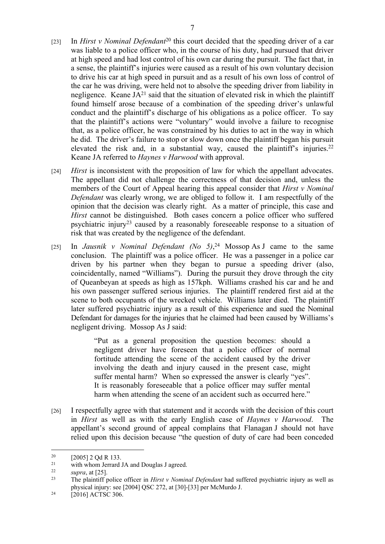- [23] In *Hirst v Nominal Defendant*<sup>20</sup> this court decided that the speeding driver of a car was liable to a police officer who, in the course of his duty, had pursued that driver at high speed and had lost control of his own car during the pursuit. The fact that, in a sense, the plaintiff's injuries were caused as a result of his own voluntary decision to drive his car at high speed in pursuit and as a result of his own loss of control of the car he was driving, were held not to absolve the speeding driver from liability in negligence. Keane  $JA^{21}$  said that the situation of elevated risk in which the plaintiff found himself arose because of a combination of the speeding driver's unlawful conduct and the plaintiff's discharge of his obligations as a police officer. To say that the plaintiff's actions were "voluntary" would involve a failure to recognise that, as a police officer, he was constrained by his duties to act in the way in which he did. The driver's failure to stop or slow down once the plaintiff began his pursuit elevated the risk and, in a substantial way, caused the plaintiff's injuries.<sup>22</sup> Keane JA referred to *Haynes v Harwood* with approval.
- [24] *Hirst* is inconsistent with the proposition of law for which the appellant advocates. The appellant did not challenge the correctness of that decision and, unless the members of the Court of Appeal hearing this appeal consider that *Hirst v Nominal Defendant* was clearly wrong, we are obliged to follow it. I am respectfully of the opinion that the decision was clearly right. As a matter of principle, this case and *Hirst* cannot be distinguished. Both cases concern a police officer who suffered psychiatric injury<sup>23</sup> caused by a reasonably foreseeable response to a situation of risk that was created by the negligence of the defendant.
- [25] In *Jausnik v Nominal Defendant (No 5)*, <sup>24</sup> Mossop As J came to the same conclusion. The plaintiff was a police officer. He was a passenger in a police car driven by his partner when they began to pursue a speeding driver (also, coincidentally, named "Williams"). During the pursuit they drove through the city of Queanbeyan at speeds as high as 157kph. Williams crashed his car and he and his own passenger suffered serious injuries. The plaintiff rendered first aid at the scene to both occupants of the wrecked vehicle. Williams later died. The plaintiff later suffered psychiatric injury as a result of this experience and sued the Nominal Defendant for damages for the injuries that he claimed had been caused by Williams's negligent driving. Mossop As J said:

"Put as a general proposition the question becomes: should a negligent driver have foreseen that a police officer of normal fortitude attending the scene of the accident caused by the driver involving the death and injury caused in the present case, might suffer mental harm? When so expressed the answer is clearly "yes". It is reasonably foreseeable that a police officer may suffer mental harm when attending the scene of an accident such as occurred here."

[26] I respectfully agree with that statement and it accords with the decision of this court in *Hirst* as well as with the early English case of *Haynes v Harwood*. The appellant's second ground of appeal complains that Flanagan J should not have relied upon this decision because "the question of duty of care had been conceded

 $^{20}$  [2005] 2 Qd R 133.<br><sup>21</sup> with whom Jerrard

<sup>&</sup>lt;sup>21</sup> with whom Jerrard JA and Douglas J agreed.<br><sup>22</sup> supra at [25]

 $\frac{22}{23}$  *supra*, at [25].

The plaintiff police officer in *Hirst v Nominal Defendant* had suffered psychiatric injury as well as physical injury: see [2004] QSC 272, at [30]-[33] per McMurdo J.

 $^{24}$  [2016] ACTSC 306.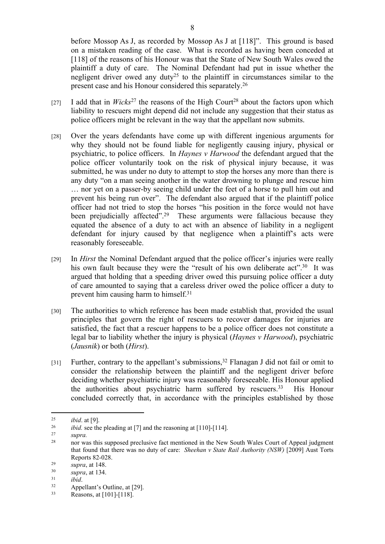before Mossop As J, as recorded by Mossop As J at [118]". This ground is based on a mistaken reading of the case. What is recorded as having been conceded at [118] of the reasons of his Honour was that the State of New South Wales owed the plaintiff a duty of care. The Nominal Defendant had put in issue whether the negligent driver owed any duty<sup>25</sup> to the plaintiff in circumstances similar to the present case and his Honour considered this separately.<sup>26</sup>

- [27] I add that in *Wicks*<sup>27</sup> the reasons of the High Court<sup>28</sup> about the factors upon which liability to rescuers might depend did not include any suggestion that their status as police officers might be relevant in the way that the appellant now submits.
- [28] Over the years defendants have come up with different ingenious arguments for why they should not be found liable for negligently causing injury, physical or psychiatric, to police officers. In *Haynes v Harwood* the defendant argued that the police officer voluntarily took on the risk of physical injury because, it was submitted, he was under no duty to attempt to stop the horses any more than there is any duty "on a man seeing another in the water drowning to plunge and rescue him … nor yet on a passer-by seeing child under the feet of a horse to pull him out and prevent his being run over". The defendant also argued that if the plaintiff police officer had not tried to stop the horses "his position in the force would not have been prejudicially affected".<sup>29</sup> These arguments were fallacious because they equated the absence of a duty to act with an absence of liability in a negligent defendant for injury caused by that negligence when a plaintiff's acts were reasonably foreseeable.
- [29] In *Hirst* the Nominal Defendant argued that the police officer's injuries were really his own fault because they were the "result of his own deliberate act".<sup>30</sup> It was argued that holding that a speeding driver owed this pursuing police officer a duty of care amounted to saying that a careless driver owed the police officer a duty to prevent him causing harm to himself.<sup>31</sup>
- [30] The authorities to which reference has been made establish that, provided the usual principles that govern the right of rescuers to recover damages for injuries are satisfied, the fact that a rescuer happens to be a police officer does not constitute a legal bar to liability whether the injury is physical (*Haynes v Harwood*), psychiatric (*Jausnik*) or both (*Hirst*).
- [31] Further, contrary to the appellant's submissions,<sup>32</sup> Flanagan J did not fail or omit to consider the relationship between the plaintiff and the negligent driver before deciding whether psychiatric injury was reasonably foreseeable. His Honour applied the authorities about psychiatric harm suffered by rescuers.<sup>33</sup> His Honour concluded correctly that, in accordance with the principles established by those

 $25$  *ibid.* at [9].<br> $26$  *ibid.* see the

 $26$  *ibid.* see the pleading at [7] and the reasoning at [110]-[114].

<sup>27</sup> *supra.*

<sup>28</sup> nor was this supposed preclusive fact mentioned in the New South Wales Court of Appeal judgment that found that there was no duty of care: *Sheehan v State Rail Authority (NSW)* [2009] Aust Torts Reports 82-028.

 $\frac{29}{30}$  *supra*, at 148.

 $\frac{30}{31}$  *supra*, at 134.

 $\frac{31}{32}$  *ibid.* 

Appellant's Outline, at [29].

<sup>33</sup> Reasons, at [101]-[118].